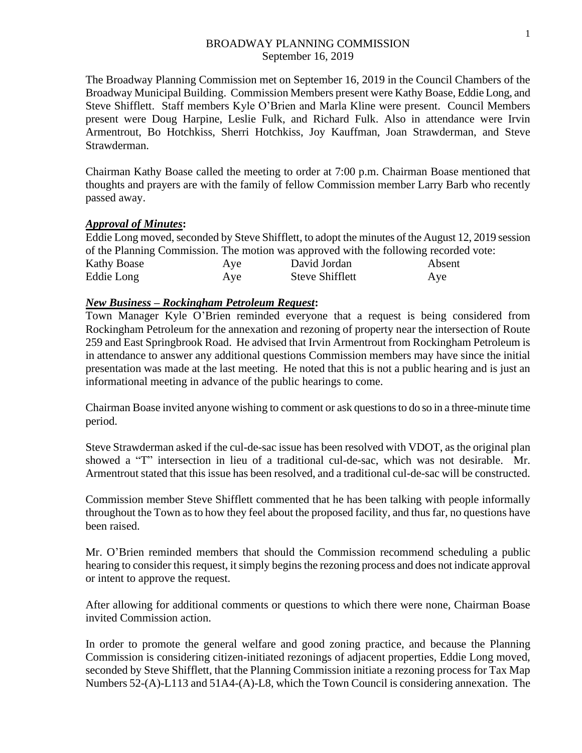## BROADWAY PLANNING COMMISSION September 16, 2019

The Broadway Planning Commission met on September 16, 2019 in the Council Chambers of the Broadway Municipal Building. Commission Members present were Kathy Boase, Eddie Long, and Steve Shifflett. Staff members Kyle O'Brien and Marla Kline were present. Council Members present were Doug Harpine, Leslie Fulk, and Richard Fulk. Also in attendance were Irvin Armentrout, Bo Hotchkiss, Sherri Hotchkiss, Joy Kauffman, Joan Strawderman, and Steve Strawderman.

Chairman Kathy Boase called the meeting to order at 7:00 p.m. Chairman Boase mentioned that thoughts and prayers are with the family of fellow Commission member Larry Barb who recently passed away.

## *Approval of Minutes***:**

Eddie Long moved, seconded by Steve Shifflett, to adopt the minutes of the August 12, 2019 session of the Planning Commission. The motion was approved with the following recorded vote: Kathy Boase **Aye** David Jordan **Absent** Eddie Long Aye Steve Shifflett Aye

## *New Business – Rockingham Petroleum Request***:**

Town Manager Kyle O'Brien reminded everyone that a request is being considered from Rockingham Petroleum for the annexation and rezoning of property near the intersection of Route 259 and East Springbrook Road. He advised that Irvin Armentrout from Rockingham Petroleum is in attendance to answer any additional questions Commission members may have since the initial presentation was made at the last meeting. He noted that this is not a public hearing and is just an informational meeting in advance of the public hearings to come.

Chairman Boase invited anyone wishing to comment or ask questions to do so in a three-minute time period.

Steve Strawderman asked if the cul-de-sac issue has been resolved with VDOT, as the original plan showed a "T" intersection in lieu of a traditional cul-de-sac, which was not desirable. Mr. Armentrout stated that this issue has been resolved, and a traditional cul-de-sac will be constructed.

Commission member Steve Shifflett commented that he has been talking with people informally throughout the Town as to how they feel about the proposed facility, and thus far, no questions have been raised.

Mr. O'Brien reminded members that should the Commission recommend scheduling a public hearing to consider this request, it simply begins the rezoning process and does not indicate approval or intent to approve the request.

After allowing for additional comments or questions to which there were none, Chairman Boase invited Commission action.

In order to promote the general welfare and good zoning practice, and because the Planning Commission is considering citizen-initiated rezonings of adjacent properties, Eddie Long moved, seconded by Steve Shifflett, that the Planning Commission initiate a rezoning process for Tax Map Numbers 52-(A)-L113 and 51A4-(A)-L8, which the Town Council is considering annexation. The